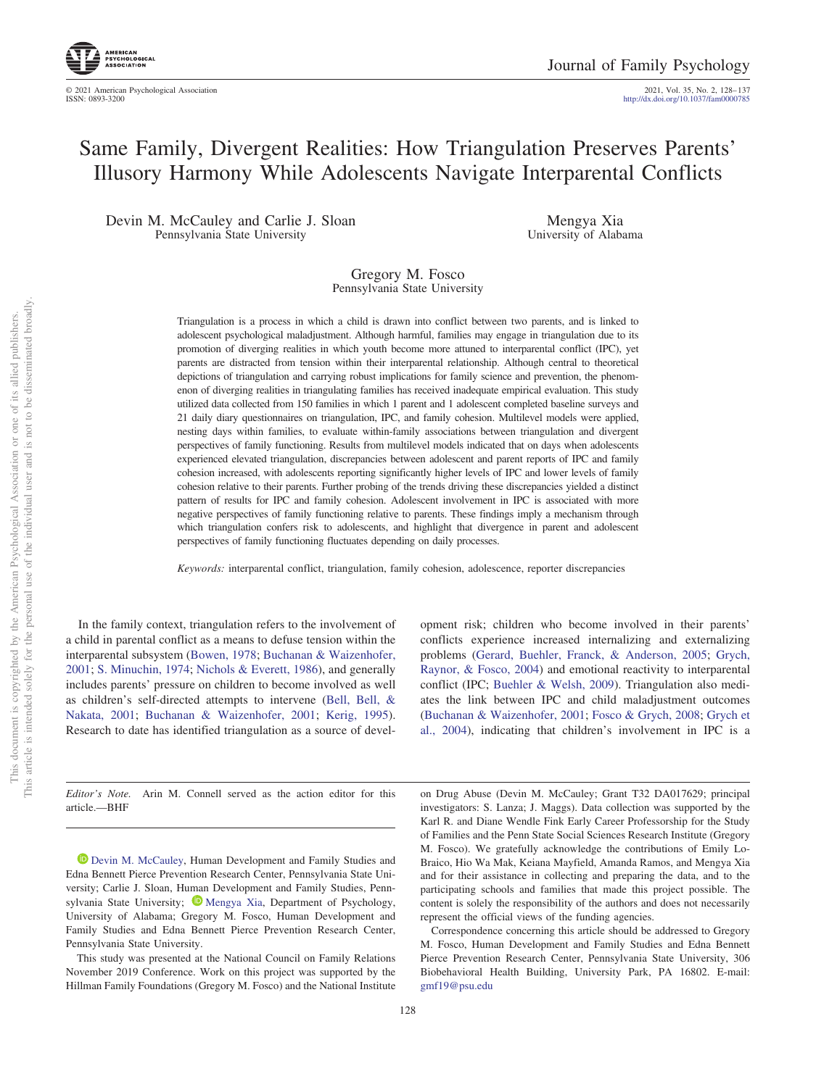ISSN: 0893-3200 http://dx.doi.org[/10.1037/fam0000785](http://dx.doi.org/10.1037/fam0000785) 2021, Vol. 35, No. 2, 128– 137

# Same Family, Divergent Realities: How Triangulation Preserves Parents' Illusory Harmony While Adolescents Navigate Interparental Conflicts

Devin M. McCauley and Carlie J. Sloan Pennsylvania State University

Mengya Xia University of Alabama

Gregory M. Fosco Pennsylvania State University

Triangulation is a process in which a child is drawn into conflict between two parents, and is linked to adolescent psychological maladjustment. Although harmful, families may engage in triangulation due to its promotion of diverging realities in which youth become more attuned to interparental conflict (IPC), yet parents are distracted from tension within their interparental relationship. Although central to theoretical depictions of triangulation and carrying robust implications for family science and prevention, the phenomenon of diverging realities in triangulating families has received inadequate empirical evaluation. This study utilized data collected from 150 families in which 1 parent and 1 adolescent completed baseline surveys and 21 daily diary questionnaires on triangulation, IPC, and family cohesion. Multilevel models were applied, nesting days within families, to evaluate within-family associations between triangulation and divergent perspectives of family functioning. Results from multilevel models indicated that on days when adolescents experienced elevated triangulation, discrepancies between adolescent and parent reports of IPC and family cohesion increased, with adolescents reporting significantly higher levels of IPC and lower levels of family cohesion relative to their parents. Further probing of the trends driving these discrepancies yielded a distinct pattern of results for IPC and family cohesion. Adolescent involvement in IPC is associated with more negative perspectives of family functioning relative to parents. These findings imply a mechanism through which triangulation confers risk to adolescents, and highlight that divergence in parent and adolescent perspectives of family functioning fluctuates depending on daily processes.

*Keywords:* interparental conflict, triangulation, family cohesion, adolescence, reporter discrepancies

In the family context, triangulation refers to the involvement of a child in parental conflict as a means to defuse tension within the interparental subsystem [\(Bowen, 1978;](#page-8-0) [Buchanan & Waizenhofer,](#page-8-1) [2001;](#page-8-1) [S. Minuchin, 1974;](#page-9-0) [Nichols & Everett, 1986\)](#page-9-1), and generally includes parents' pressure on children to become involved as well as children's self-directed attempts to intervene [\(Bell, Bell, &](#page-8-2) [Nakata, 2001;](#page-8-2) [Buchanan & Waizenhofer, 2001;](#page-8-1) [Kerig, 1995\)](#page-9-2). Research to date has identified triangulation as a source of devel-

opment risk; children who become involved in their parents' conflicts experience increased internalizing and externalizing problems [\(Gerard, Buehler, Franck, & Anderson, 2005;](#page-8-3) [Grych,](#page-8-4) [Raynor, & Fosco, 2004\)](#page-8-4) and emotional reactivity to interparental conflict (IPC; [Buehler & Welsh, 2009\)](#page-8-5). Triangulation also mediates the link between IPC and child maladjustment outcomes [\(Buchanan & Waizenhofer, 2001;](#page-8-1) [Fosco & Grych, 2008;](#page-8-6) [Grych et](#page-8-4) [al., 2004\)](#page-8-4), indicating that children's involvement in IPC is a

*Editor's Note.* Arin M. Connell served as the action editor for this article.—BHF

[Devin M. McCauley,](https://orcid.org/0000-0002-0794-9433) Human Development and Family Studies and Edna Bennett Pierce Prevention Research Center, Pennsylvania State University; Carlie J. Sloan, Human Development and Family Studies, Pennsylvania State University;  $\bullet$  [Mengya Xia,](https://orcid.org/0000-0001-6413-353X) Department of Psychology, University of Alabama; Gregory M. Fosco, Human Development and Family Studies and Edna Bennett Pierce Prevention Research Center, Pennsylvania State University.

This study was presented at the National Council on Family Relations November 2019 Conference. Work on this project was supported by the Hillman Family Foundations (Gregory M. Fosco) and the National Institute on Drug Abuse (Devin M. McCauley; Grant T32 DA017629; principal investigators: S. Lanza; J. Maggs). Data collection was supported by the Karl R. and Diane Wendle Fink Early Career Professorship for the Study of Families and the Penn State Social Sciences Research Institute (Gregory M. Fosco). We gratefully acknowledge the contributions of Emily Lo-Braico, Hio Wa Mak, Keiana Mayfield, Amanda Ramos, and Mengya Xia and for their assistance in collecting and preparing the data, and to the participating schools and families that made this project possible. The content is solely the responsibility of the authors and does not necessarily represent the official views of the funding agencies.

Correspondence concerning this article should be addressed to Gregory M. Fosco, Human Development and Family Studies and Edna Bennett Pierce Prevention Research Center, Pennsylvania State University, 306 Biobehavioral Health Building, University Park, PA 16802. E-mail: [gmf19@psu.edu](mailto:gmf19@psu.edu)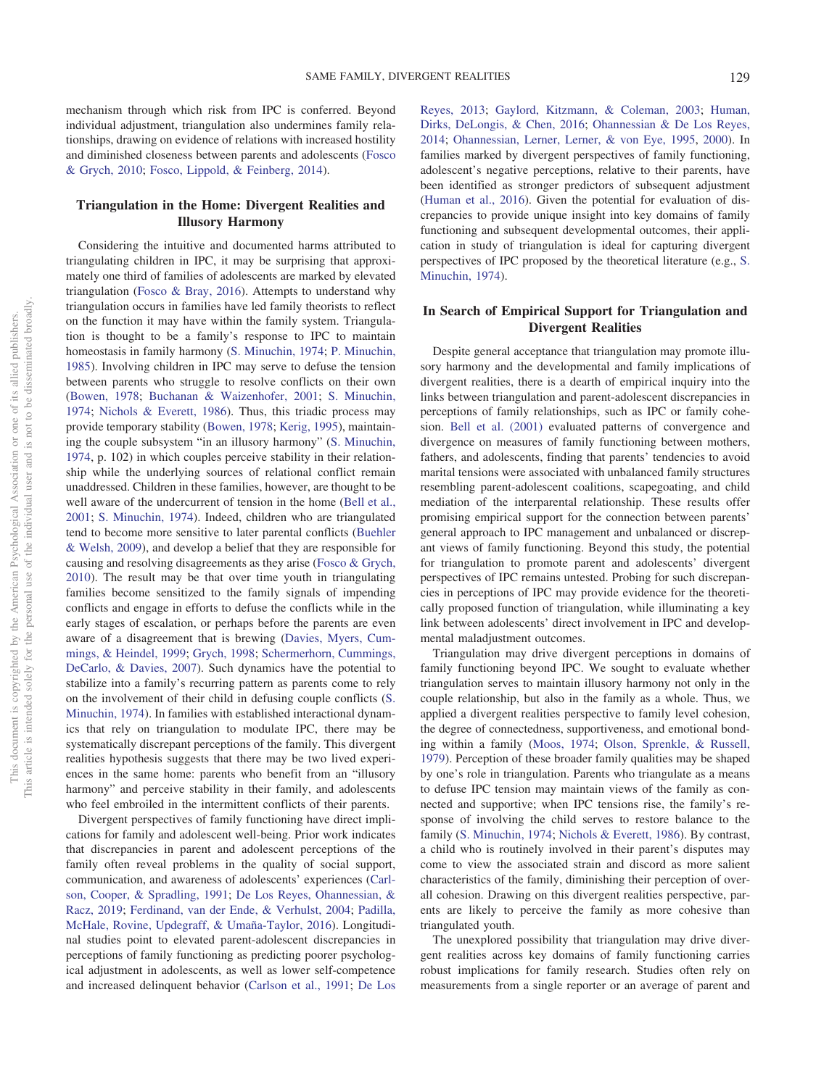mechanism through which risk from IPC is conferred. Beyond individual adjustment, triangulation also undermines family relationships, drawing on evidence of relations with increased hostility and diminished closeness between parents and adolescents [\(Fosco](#page-8-7) [& Grych, 2010;](#page-8-7) [Fosco, Lippold, & Feinberg, 2014\)](#page-8-8).

# **Triangulation in the Home: Divergent Realities and Illusory Harmony**

Considering the intuitive and documented harms attributed to triangulating children in IPC, it may be surprising that approximately one third of families of adolescents are marked by elevated triangulation [\(Fosco & Bray, 2016\)](#page-8-9). Attempts to understand why triangulation occurs in families have led family theorists to reflect on the function it may have within the family system. Triangulation is thought to be a family's response to IPC to maintain homeostasis in family harmony [\(S. Minuchin, 1974;](#page-9-0) [P. Minuchin,](#page-9-3) [1985\)](#page-9-3). Involving children in IPC may serve to defuse the tension between parents who struggle to resolve conflicts on their own [\(Bowen, 1978;](#page-8-0) [Buchanan & Waizenhofer, 2001;](#page-8-1) [S. Minuchin,](#page-9-0) [1974;](#page-9-0) [Nichols & Everett, 1986\)](#page-9-1). Thus, this triadic process may provide temporary stability [\(Bowen, 1978;](#page-8-0) [Kerig, 1995\)](#page-9-2), maintaining the couple subsystem "in an illusory harmony" [\(S. Minuchin,](#page-9-0) [1974,](#page-9-0) p. 102) in which couples perceive stability in their relationship while the underlying sources of relational conflict remain unaddressed. Children in these families, however, are thought to be well aware of the undercurrent of tension in the home [\(Bell et al.,](#page-8-2) [2001;](#page-8-2) [S. Minuchin, 1974\)](#page-9-0). Indeed, children who are triangulated tend to become more sensitive to later parental conflicts [\(Buehler](#page-8-5) [& Welsh, 2009\)](#page-8-5), and develop a belief that they are responsible for causing and resolving disagreements as they arise [\(Fosco & Grych,](#page-8-7) [2010\)](#page-8-7). The result may be that over time youth in triangulating families become sensitized to the family signals of impending conflicts and engage in efforts to defuse the conflicts while in the early stages of escalation, or perhaps before the parents are even aware of a disagreement that is brewing [\(Davies, Myers, Cum](#page-8-10)[mings, & Heindel, 1999;](#page-8-10) [Grych, 1998;](#page-8-11) [Schermerhorn, Cummings,](#page-9-4) [DeCarlo, & Davies, 2007\)](#page-9-4). Such dynamics have the potential to stabilize into a family's recurring pattern as parents come to rely on the involvement of their child in defusing couple conflicts [\(S.](#page-9-0) [Minuchin, 1974\)](#page-9-0). In families with established interactional dynamics that rely on triangulation to modulate IPC, there may be systematically discrepant perceptions of the family. This divergent realities hypothesis suggests that there may be two lived experiences in the same home: parents who benefit from an "illusory harmony" and perceive stability in their family, and adolescents who feel embroiled in the intermittent conflicts of their parents.

Divergent perspectives of family functioning have direct implications for family and adolescent well-being. Prior work indicates that discrepancies in parent and adolescent perceptions of the family often reveal problems in the quality of social support, communication, and awareness of adolescents' experiences [\(Carl](#page-8-12)[son, Cooper, & Spradling, 1991;](#page-8-12) [De Los Reyes, Ohannessian, &](#page-8-13) [Racz, 2019;](#page-8-13) [Ferdinand, van der Ende, & Verhulst, 2004;](#page-8-14) [Padilla,](#page-9-5) [McHale, Rovine, Updegraff, & Umaña-Taylor, 2016\)](#page-9-5). Longitudinal studies point to elevated parent-adolescent discrepancies in perceptions of family functioning as predicting poorer psychological adjustment in adolescents, as well as lower self-competence and increased delinquent behavior [\(Carlson et al., 1991;](#page-8-12) [De Los](#page-8-15)

[Reyes, 2013;](#page-8-15) [Gaylord, Kitzmann, & Coleman, 2003;](#page-8-16) [Human,](#page-9-6) [Dirks, DeLongis, & Chen, 2016;](#page-9-6) [Ohannessian & De Los Reyes,](#page-9-7) [2014;](#page-9-7) [Ohannessian, Lerner, Lerner, & von Eye, 1995,](#page-9-8) [2000\)](#page-9-9). In families marked by divergent perspectives of family functioning, adolescent's negative perceptions, relative to their parents, have been identified as stronger predictors of subsequent adjustment [\(Human et al., 2016\)](#page-9-6). Given the potential for evaluation of discrepancies to provide unique insight into key domains of family functioning and subsequent developmental outcomes, their application in study of triangulation is ideal for capturing divergent perspectives of IPC proposed by the theoretical literature (e.g., [S.](#page-9-0) [Minuchin, 1974\)](#page-9-0).

# **In Search of Empirical Support for Triangulation and Divergent Realities**

Despite general acceptance that triangulation may promote illusory harmony and the developmental and family implications of divergent realities, there is a dearth of empirical inquiry into the links between triangulation and parent-adolescent discrepancies in perceptions of family relationships, such as IPC or family cohesion. [Bell et al. \(2001\)](#page-8-2) evaluated patterns of convergence and divergence on measures of family functioning between mothers, fathers, and adolescents, finding that parents' tendencies to avoid marital tensions were associated with unbalanced family structures resembling parent-adolescent coalitions, scapegoating, and child mediation of the interparental relationship. These results offer promising empirical support for the connection between parents' general approach to IPC management and unbalanced or discrepant views of family functioning. Beyond this study, the potential for triangulation to promote parent and adolescents' divergent perspectives of IPC remains untested. Probing for such discrepancies in perceptions of IPC may provide evidence for the theoretically proposed function of triangulation, while illuminating a key link between adolescents' direct involvement in IPC and developmental maladjustment outcomes.

Triangulation may drive divergent perceptions in domains of family functioning beyond IPC. We sought to evaluate whether triangulation serves to maintain illusory harmony not only in the couple relationship, but also in the family as a whole. Thus, we applied a divergent realities perspective to family level cohesion, the degree of connectedness, supportiveness, and emotional bonding within a family [\(Moos, 1974;](#page-9-10) [Olson, Sprenkle, & Russell,](#page-9-11) [1979\)](#page-9-11). Perception of these broader family qualities may be shaped by one's role in triangulation. Parents who triangulate as a means to defuse IPC tension may maintain views of the family as connected and supportive; when IPC tensions rise, the family's response of involving the child serves to restore balance to the family [\(S. Minuchin, 1974;](#page-9-0) [Nichols & Everett, 1986\)](#page-9-1). By contrast, a child who is routinely involved in their parent's disputes may come to view the associated strain and discord as more salient characteristics of the family, diminishing their perception of overall cohesion. Drawing on this divergent realities perspective, parents are likely to perceive the family as more cohesive than triangulated youth.

The unexplored possibility that triangulation may drive divergent realities across key domains of family functioning carries robust implications for family research. Studies often rely on measurements from a single reporter or an average of parent and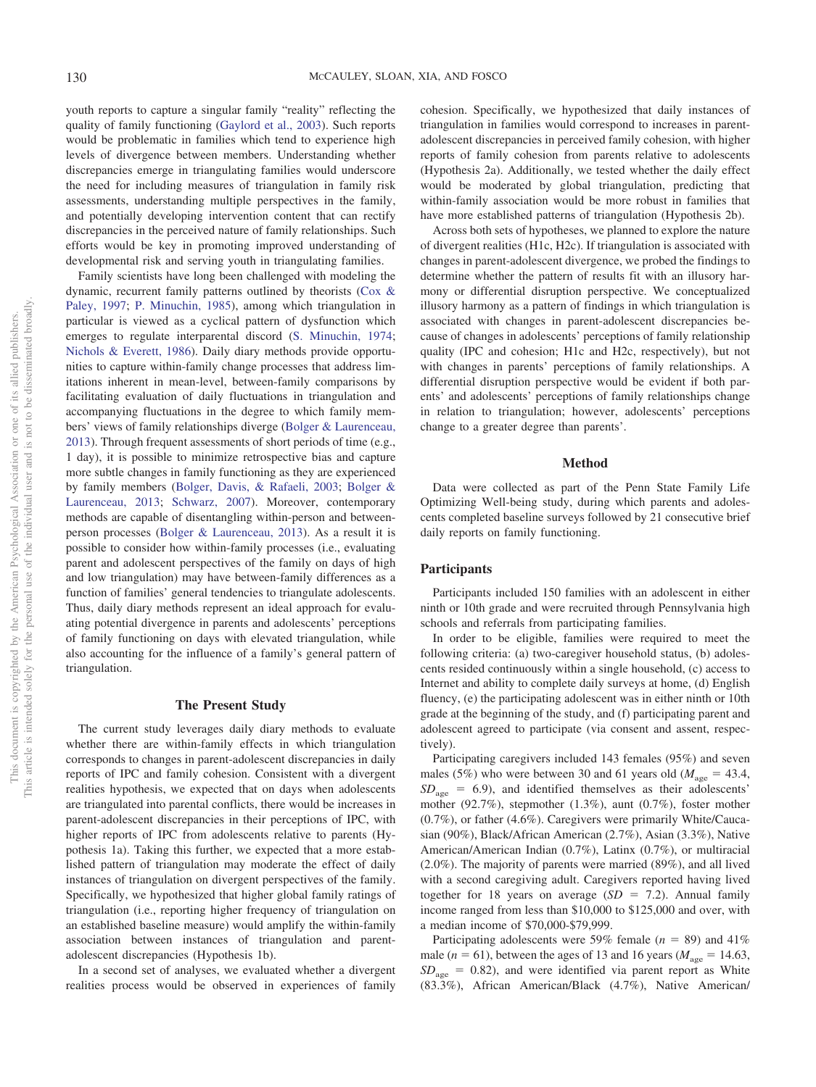youth reports to capture a singular family "reality" reflecting the quality of family functioning [\(Gaylord et al., 2003\)](#page-8-16). Such reports would be problematic in families which tend to experience high levels of divergence between members. Understanding whether discrepancies emerge in triangulating families would underscore the need for including measures of triangulation in family risk assessments, understanding multiple perspectives in the family, and potentially developing intervention content that can rectify discrepancies in the perceived nature of family relationships. Such efforts would be key in promoting improved understanding of developmental risk and serving youth in triangulating families.

Family scientists have long been challenged with modeling the dynamic, recurrent family patterns outlined by theorists [\(Cox &](#page-8-17) [Paley, 1997;](#page-8-17) [P. Minuchin, 1985\)](#page-9-3), among which triangulation in particular is viewed as a cyclical pattern of dysfunction which emerges to regulate interparental discord [\(S. Minuchin, 1974;](#page-9-0) [Nichols & Everett, 1986\)](#page-9-1). Daily diary methods provide opportunities to capture within-family change processes that address limitations inherent in mean-level, between-family comparisons by facilitating evaluation of daily fluctuations in triangulation and accompanying fluctuations in the degree to which family members' views of family relationships diverge [\(Bolger & Laurenceau,](#page-8-18) [2013\)](#page-8-18). Through frequent assessments of short periods of time (e.g., 1 day), it is possible to minimize retrospective bias and capture more subtle changes in family functioning as they are experienced by family members [\(Bolger, Davis, & Rafaeli, 2003;](#page-8-19) [Bolger &](#page-8-18) [Laurenceau, 2013;](#page-8-18) [Schwarz, 2007\)](#page-9-12). Moreover, contemporary methods are capable of disentangling within-person and betweenperson processes [\(Bolger & Laurenceau, 2013\)](#page-8-18). As a result it is possible to consider how within-family processes (i.e., evaluating parent and adolescent perspectives of the family on days of high and low triangulation) may have between-family differences as a function of families' general tendencies to triangulate adolescents. Thus, daily diary methods represent an ideal approach for evaluating potential divergence in parents and adolescents' perceptions of family functioning on days with elevated triangulation, while also accounting for the influence of a family's general pattern of triangulation.

### **The Present Study**

The current study leverages daily diary methods to evaluate whether there are within-family effects in which triangulation corresponds to changes in parent-adolescent discrepancies in daily reports of IPC and family cohesion. Consistent with a divergent realities hypothesis, we expected that on days when adolescents are triangulated into parental conflicts, there would be increases in parent-adolescent discrepancies in their perceptions of IPC, with higher reports of IPC from adolescents relative to parents (Hypothesis 1a). Taking this further, we expected that a more established pattern of triangulation may moderate the effect of daily instances of triangulation on divergent perspectives of the family. Specifically, we hypothesized that higher global family ratings of triangulation (i.e., reporting higher frequency of triangulation on an established baseline measure) would amplify the within-family association between instances of triangulation and parentadolescent discrepancies (Hypothesis 1b).

In a second set of analyses, we evaluated whether a divergent realities process would be observed in experiences of family

cohesion. Specifically, we hypothesized that daily instances of triangulation in families would correspond to increases in parentadolescent discrepancies in perceived family cohesion, with higher reports of family cohesion from parents relative to adolescents (Hypothesis 2a). Additionally, we tested whether the daily effect would be moderated by global triangulation, predicting that within-family association would be more robust in families that have more established patterns of triangulation (Hypothesis 2b).

Across both sets of hypotheses, we planned to explore the nature of divergent realities (H1c, H2c). If triangulation is associated with changes in parent-adolescent divergence, we probed the findings to determine whether the pattern of results fit with an illusory harmony or differential disruption perspective. We conceptualized illusory harmony as a pattern of findings in which triangulation is associated with changes in parent-adolescent discrepancies because of changes in adolescents' perceptions of family relationship quality (IPC and cohesion; H1c and H2c, respectively), but not with changes in parents' perceptions of family relationships. A differential disruption perspective would be evident if both parents' and adolescents' perceptions of family relationships change in relation to triangulation; however, adolescents' perceptions change to a greater degree than parents'.

### **Method**

Data were collected as part of the Penn State Family Life Optimizing Well-being study, during which parents and adolescents completed baseline surveys followed by 21 consecutive brief daily reports on family functioning.

### **Participants**

Participants included 150 families with an adolescent in either ninth or 10th grade and were recruited through Pennsylvania high schools and referrals from participating families.

In order to be eligible, families were required to meet the following criteria: (a) two-caregiver household status, (b) adolescents resided continuously within a single household, (c) access to Internet and ability to complete daily surveys at home, (d) English fluency, (e) the participating adolescent was in either ninth or 10th grade at the beginning of the study, and (f) participating parent and adolescent agreed to participate (via consent and assent, respectively).

Participating caregivers included 143 females (95%) and seven males (5%) who were between 30 and 61 years old ( $M_{\text{age}} = 43.4$ ,  $SD<sub>age</sub> = 6.9$ , and identified themselves as their adolescents' mother (92.7%), stepmother (1.3%), aunt (0.7%), foster mother (0.7%), or father (4.6%). Caregivers were primarily White/Caucasian (90%), Black/African American (2.7%), Asian (3.3%), Native American/American Indian (0.7%), Latinx (0.7%), or multiracial (2.0%). The majority of parents were married (89%), and all lived with a second caregiving adult. Caregivers reported having lived together for 18 years on average  $(SD = 7.2)$ . Annual family income ranged from less than \$10,000 to \$125,000 and over, with a median income of \$70,000-\$79,999.

Participating adolescents were 59% female  $(n = 89)$  and 41% male ( $n = 61$ ), between the ages of 13 and 16 years ( $M_{\text{age}} = 14.63$ ,  $SD<sub>age</sub> = 0.82$ ), and were identified via parent report as White (83.3%), African American/Black (4.7%), Native American/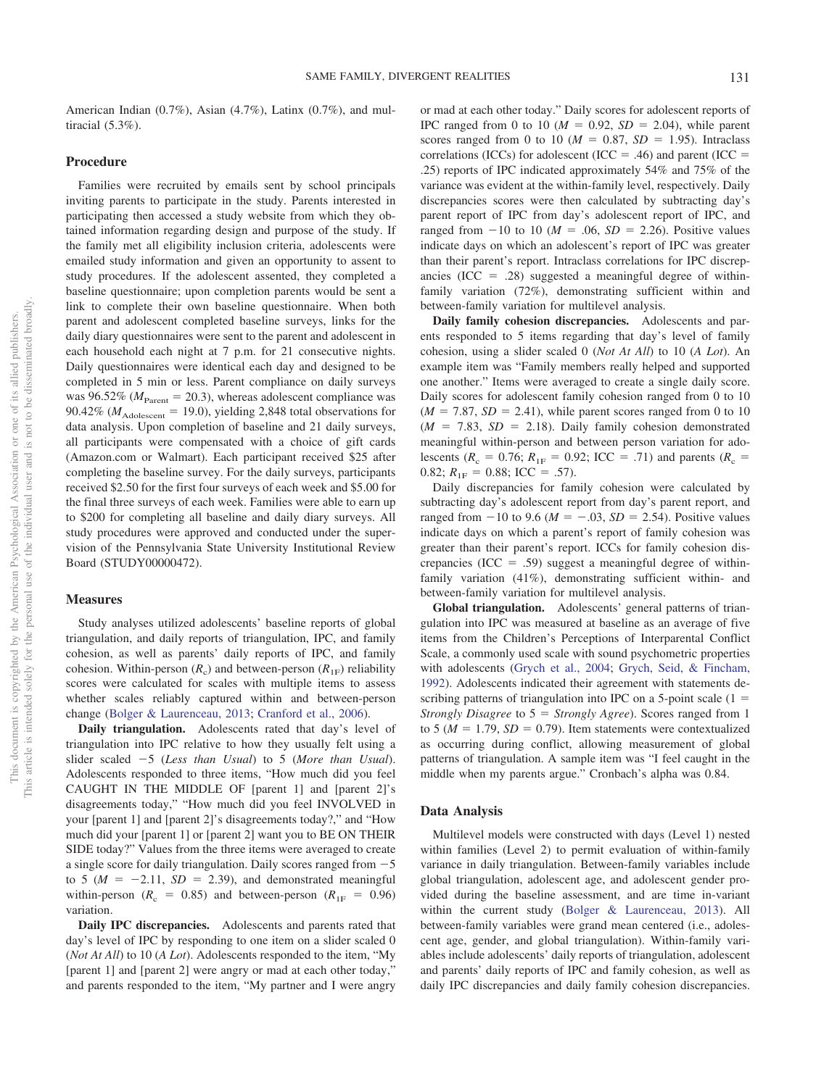American Indian (0.7%), Asian (4.7%), Latinx (0.7%), and multiracial (5.3%).

### **Procedure**

Families were recruited by emails sent by school principals inviting parents to participate in the study. Parents interested in participating then accessed a study website from which they obtained information regarding design and purpose of the study. If the family met all eligibility inclusion criteria, adolescents were emailed study information and given an opportunity to assent to study procedures. If the adolescent assented, they completed a baseline questionnaire; upon completion parents would be sent a link to complete their own baseline questionnaire. When both parent and adolescent completed baseline surveys, links for the daily diary questionnaires were sent to the parent and adolescent in each household each night at 7 p.m. for 21 consecutive nights. Daily questionnaires were identical each day and designed to be completed in 5 min or less. Parent compliance on daily surveys was  $96.52\%$  ( $M_{\text{Parent}} = 20.3$ ), whereas adolescent compliance was  $90.42\%$  ( $M_{\text{Adolescent}} = 19.0$ ), yielding 2,848 total observations for data analysis. Upon completion of baseline and 21 daily surveys, all participants were compensated with a choice of gift cards (Amazon.com or Walmart). Each participant received \$25 after completing the baseline survey. For the daily surveys, participants received \$2.50 for the first four surveys of each week and \$5.00 for the final three surveys of each week. Families were able to earn up to \$200 for completing all baseline and daily diary surveys. All study procedures were approved and conducted under the supervision of the Pennsylvania State University Institutional Review Board (STUDY00000472).

### **Measures**

Study analyses utilized adolescents' baseline reports of global triangulation, and daily reports of triangulation, IPC, and family cohesion, as well as parents' daily reports of IPC, and family cohesion. Within-person  $(R_c)$  and between-person  $(R_{1F})$  reliability scores were calculated for scales with multiple items to assess whether scales reliably captured within and between-person change [\(Bolger & Laurenceau, 2013;](#page-8-18) [Cranford et al., 2006\)](#page-8-20).

**Daily triangulation.** Adolescents rated that day's level of triangulation into IPC relative to how they usually felt using a slider scaled 5 (*Less than Usual*) to 5 (*More than Usual*). Adolescents responded to three items, "How much did you feel CAUGHT IN THE MIDDLE OF [parent 1] and [parent 2]'s disagreements today," "How much did you feel INVOLVED in your [parent 1] and [parent 2]'s disagreements today?," and "How much did your [parent 1] or [parent 2] want you to BE ON THEIR SIDE today?" Values from the three items were averaged to create a single score for daily triangulation. Daily scores ranged from  $-5$ to 5 ( $M = -2.11$ ,  $SD = 2.39$ ), and demonstrated meaningful within-person ( $R_c = 0.85$ ) and between-person ( $R_{1F} = 0.96$ ) variation.

**Daily IPC discrepancies.** Adolescents and parents rated that day's level of IPC by responding to one item on a slider scaled 0 (*Not At All*) to 10 (*A Lot*). Adolescents responded to the item, "My [parent 1] and [parent 2] were angry or mad at each other today," and parents responded to the item, "My partner and I were angry

or mad at each other today." Daily scores for adolescent reports of IPC ranged from 0 to 10 ( $M = 0.92$ ,  $SD = 2.04$ ), while parent scores ranged from 0 to 10 ( $M = 0.87$ ,  $SD = 1.95$ ). Intraclass correlations (ICCs) for adolescent (ICC = .46) and parent (ICC = .25) reports of IPC indicated approximately 54% and 75% of the variance was evident at the within-family level, respectively. Daily discrepancies scores were then calculated by subtracting day's parent report of IPC from day's adolescent report of IPC, and ranged from  $-10$  to 10 ( $M = .06$ ,  $SD = 2.26$ ). Positive values indicate days on which an adolescent's report of IPC was greater than their parent's report. Intraclass correlations for IPC discrepancies (ICC = .28) suggested a meaningful degree of withinfamily variation (72%), demonstrating sufficient within and between-family variation for multilevel analysis.

**Daily family cohesion discrepancies.** Adolescents and parents responded to 5 items regarding that day's level of family cohesion, using a slider scaled 0 (*Not At All*) to 10 (*A Lot*). An example item was "Family members really helped and supported one another." Items were averaged to create a single daily score. Daily scores for adolescent family cohesion ranged from 0 to 10  $(M = 7.87, SD = 2.41)$ , while parent scores ranged from 0 to 10  $(M = 7.83, SD = 2.18)$ . Daily family cohesion demonstrated meaningful within-person and between person variation for adolescents ( $R_c = 0.76$ ;  $R_{1F} = 0.92$ ; ICC = .71) and parents ( $R_c$  = 0.82;  $R_{1F} = 0.88$ ; ICC = .57).

Daily discrepancies for family cohesion were calculated by subtracting day's adolescent report from day's parent report, and ranged from  $-10$  to 9.6 ( $M = -.03$ ,  $SD = 2.54$ ). Positive values indicate days on which a parent's report of family cohesion was greater than their parent's report. ICCs for family cohesion discrepancies (ICC = .59) suggest a meaningful degree of withinfamily variation (41%), demonstrating sufficient within- and between-family variation for multilevel analysis.

**Global triangulation.** Adolescents' general patterns of triangulation into IPC was measured at baseline as an average of five items from the Children's Perceptions of Interparental Conflict Scale, a commonly used scale with sound psychometric properties with adolescents [\(Grych et al., 2004;](#page-8-4) [Grych, Seid, & Fincham,](#page-8-21) [1992\)](#page-8-21). Adolescents indicated their agreement with statements describing patterns of triangulation into IPC on a 5-point scale  $(1 =$ *Strongly Disagree* to 5 = *Strongly Agree*). Scores ranged from 1 to 5 ( $M = 1.79$ ,  $SD = 0.79$ ). Item statements were contextualized as occurring during conflict, allowing measurement of global patterns of triangulation. A sample item was "I feel caught in the middle when my parents argue." Cronbach's alpha was 0.84.

### **Data Analysis**

Multilevel models were constructed with days (Level 1) nested within families (Level 2) to permit evaluation of within-family variance in daily triangulation. Between-family variables include global triangulation, adolescent age, and adolescent gender provided during the baseline assessment, and are time in-variant within the current study [\(Bolger & Laurenceau, 2013\)](#page-8-18). All between-family variables were grand mean centered (i.e., adolescent age, gender, and global triangulation). Within-family variables include adolescents' daily reports of triangulation, adolescent and parents' daily reports of IPC and family cohesion, as well as daily IPC discrepancies and daily family cohesion discrepancies.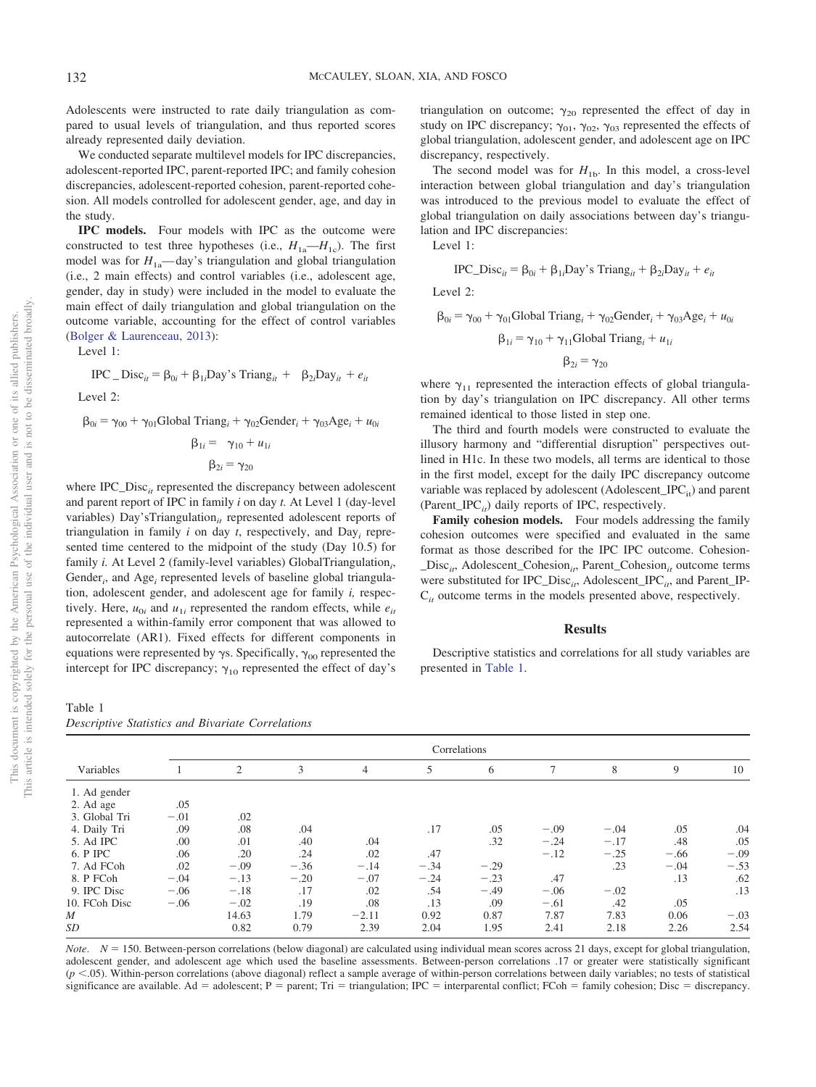Adolescents were instructed to rate daily triangulation as compared to usual levels of triangulation, and thus reported scores already represented daily deviation.

We conducted separate multilevel models for IPC discrepancies, adolescent-reported IPC, parent-reported IPC; and family cohesion discrepancies, adolescent-reported cohesion, parent-reported cohesion. All models controlled for adolescent gender, age, and day in the study.

**IPC models.** Four models with IPC as the outcome were constructed to test three hypotheses (i.e.,  $H_{1a}$ — $H_{1c}$ ). The first model was for  $H_{1a}$ —day's triangulation and global triangulation (i.e., 2 main effects) and control variables (i.e., adolescent age, gender, day in study) were included in the model to evaluate the main effect of daily triangulation and global triangulation on the outcome variable, accounting for the effect of control variables [\(Bolger & Laurenceau, 2013\)](#page-8-18):

Level  $1$ .

$$
IPC\_Disc_{it} = \beta_{0i} + \beta_{1i} Day's Triangle_{it} + \beta_{2i} Day_{it} + e_{it}
$$

Level 2:

 $\beta_{0i} = \gamma_{00} + \gamma_{01}$ Global Triang<sub>*i*</sub> +  $\gamma_{02}$ Gender<sub>*i*</sub> +  $\gamma_{03}$ Age<sub>*i*</sub> +  $u_{0i}$ 

$$
\beta_{1i} = \gamma_{10} + u_{1i}
$$

$$
\beta_{2i} = \gamma_{20}
$$

where IPC\_Disc<sub>it</sub> represented the discrepancy between adolescent and parent report of IPC in family *i* on day *t.* At Level 1 (day-level variables) Day'sTriangulation<sub>it</sub> represented adolescent reports of triangulation in family *i* on day *t*, respectively, and Day*<sup>i</sup>* represented time centered to the midpoint of the study (Day 10.5) for family *i*. At Level 2 (family-level variables) GlobalTriangulation<sub>i</sub>, Gender<sub>i</sub>, and Age<sub>i</sub> represented levels of baseline global triangulation, adolescent gender, and adolescent age for family *i,* respectively. Here,  $u_{0i}$  and  $u_{1i}$  represented the random effects, while  $e_{it}$ represented a within-family error component that was allowed to autocorrelate (AR1). Fixed effects for different components in equations were represented by  $\gamma s$ . Specifically,  $\gamma_{00}$  represented the intercept for IPC discrepancy;  $\gamma_{10}$  represented the effect of day's triangulation on outcome;  $\gamma_{20}$  represented the effect of day in study on IPC discrepancy;  $\gamma_{01}$ ,  $\gamma_{02}$ ,  $\gamma_{03}$  represented the effects of global triangulation, adolescent gender, and adolescent age on IPC discrepancy, respectively.

The second model was for  $H_{1b}$ . In this model, a cross-level interaction between global triangulation and day's triangulation was introduced to the previous model to evaluate the effect of global triangulation on daily associations between day's triangulation and IPC discrepancies:

Level 1:

$$
IPC\_Disc_{it} = \beta_{0i} + \beta_{1i}Day
$$
's Triang<sub>it</sub> +  $\beta_{2i}Day_{it} + e_{it}$ 

Level 2:

$$
\beta_{0i} = \gamma_{00} + \gamma_{01} \text{Global Triangle}_{i} + \gamma_{02} \text{Gender}_{i} + \gamma_{03} \text{Age}_{i} + u_{0i}
$$

$$
\beta_{1i} = \gamma_{10} + \gamma_{11} \text{Global Triangle}_{i} + u_{1i}
$$

$$
\beta_{2i} = \gamma_{20}
$$

where  $\gamma_{11}$  represented the interaction effects of global triangulation by day's triangulation on IPC discrepancy. All other terms remained identical to those listed in step one.

The third and fourth models were constructed to evaluate the illusory harmony and "differential disruption" perspectives outlined in H1c. In these two models, all terms are identical to those in the first model, except for the daily IPC discrepancy outcome variable was replaced by adolescent (Adolescent\_IPC<sub>it</sub>) and parent (Parent\_IPC $_{it}$ ) daily reports of IPC, respectively.

**Family cohesion models.** Four models addressing the family cohesion outcomes were specified and evaluated in the same format as those described for the IPC IPC outcome. Cohesion- \_Disc*it*, Adolescent\_Cohesion*it*, Parent\_Cohesion*it* outcome terms were substituted for IPC\_Disc<sub>it</sub>, Adolescent\_IPC<sub>it</sub>, and Parent\_IP-C*it* outcome terms in the models presented above, respectively.

### **Results**

Descriptive statistics and correlations for all study variables are presented in [Table 1.](#page-4-0)

<span id="page-4-0"></span>*Descriptive Statistics and Bivariate Correlations*

|               | Correlations |        |        |                |        |        |        |        |        |        |  |
|---------------|--------------|--------|--------|----------------|--------|--------|--------|--------|--------|--------|--|
| Variables     |              | 2      | 3      | $\overline{4}$ | 5      | 6      | 7      | 8      | 9      | 10     |  |
| 1. Ad gender  |              |        |        |                |        |        |        |        |        |        |  |
| 2. Ad age     | .05          |        |        |                |        |        |        |        |        |        |  |
| 3. Global Tri | $-.01$       | .02    |        |                |        |        |        |        |        |        |  |
| 4. Daily Tri  | .09          | .08    | .04    |                | .17    | .05    | $-.09$ | $-.04$ | .05    | .04    |  |
| 5. Ad IPC     | .00          | .01    | .40    | .04            |        | .32    | $-.24$ | $-.17$ | .48    | .05    |  |
| 6. P IPC      | .06          | .20    | .24    | .02            | .47    |        | $-.12$ | $-.25$ | $-.66$ | $-.09$ |  |
| 7. Ad FCoh    | .02          | $-.09$ | $-.36$ | $-.14$         | $-.34$ | $-.29$ |        | .23    | $-.04$ | $-.53$ |  |
| 8. P FCoh     | $-.04$       | $-.13$ | $-.20$ | $-.07$         | $-.24$ | $-.23$ | .47    |        | .13    | .62    |  |
| 9. IPC Disc   | $-.06$       | $-.18$ | .17    | .02            | .54    | $-.49$ | $-.06$ | $-.02$ |        | .13    |  |
| 10. FCoh Disc | $-.06$       | $-.02$ | .19    | .08            | .13    | .09    | $-.61$ | .42    | .05    |        |  |
| M             |              | 14.63  | 1.79   | $-2.11$        | 0.92   | 0.87   | 7.87   | 7.83   | 0.06   | $-.03$ |  |
| SD            |              | 0.82   | 0.79   | 2.39           | 2.04   | 1.95   | 2.41   | 2.18   | 2.26   | 2.54   |  |

*Note.*  $N = 150$ . Between-person correlations (below diagonal) are calculated using individual mean scores across 21 days, except for global triangulation, adolescent gender, and adolescent age which used the baseline assessments. Between-person correlations .17 or greater were statistically significant  $(p \le 0.05)$ . Within-person correlations (above diagonal) reflect a sample average of within-person correlations between daily variables; no tests of statistical significance are available. Ad = adolescent;  $P =$  parent; Tri = triangulation; IPC = interparental conflict; FCoh = family cohesion; Disc = discrepancy.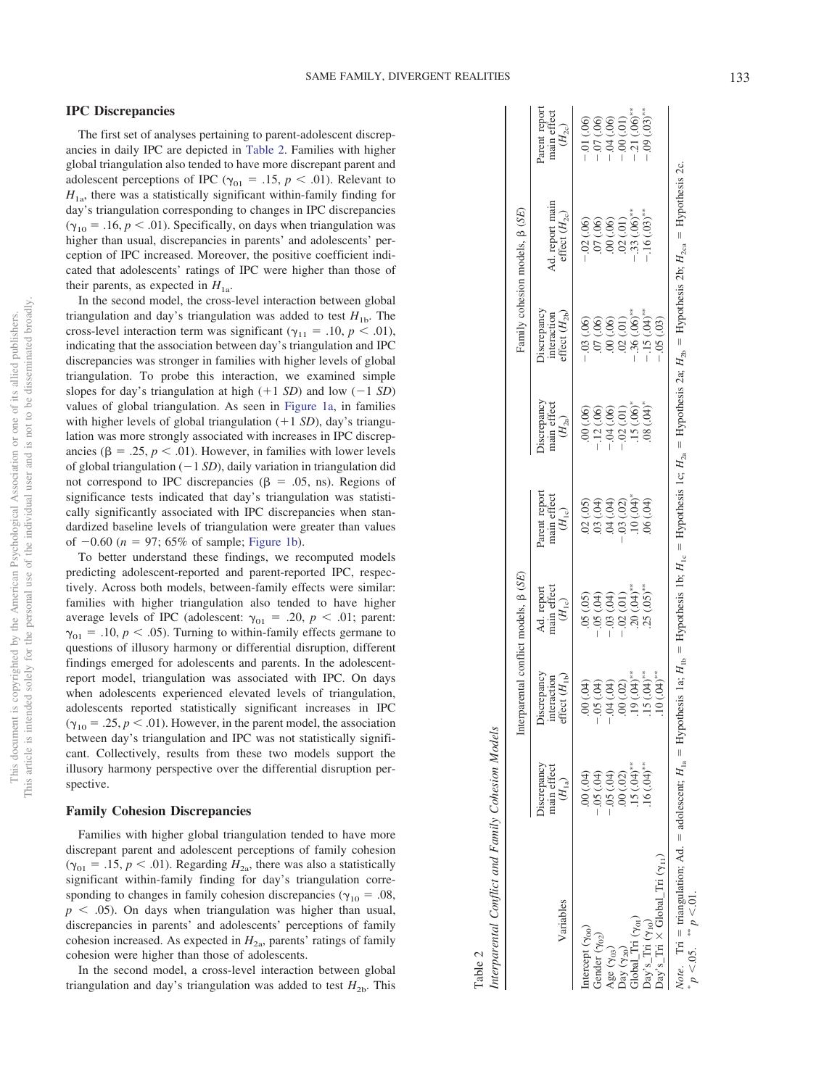# **IPC Discrepancies**

The first set of analyses pertaining to parent-adolescent discrepancies in daily IPC are depicted in [Table 2.](#page-5-0) Families with higher global triangulation also tended to have more discrepant parent and adolescent perceptions of IPC ( $\gamma_{01} = .15$ ,  $p < .01$ ). Relevant to  $H_{1a}$ , there was a statistically significant within-family finding for day's triangulation corresponding to changes in IPC discrepancies  $(\gamma_{10} = .16, p < .01)$ . Specifically, on days when triangulation was higher than usual, discrepancies in parents' and adolescents' perception of IPC increased. Moreover, the positive coefficient indicated that adolescents' ratings of IPC were higher than those of their parents, as expected in  $H_{1a}$ .

In the second model, the cross-level interaction between global triangulation and day's triangulation was added to test  $H_{1b}$ . The cross-level interaction term was significant ( $\gamma_{11} = .10, p < .01$ ), indicating that the association between day's triangulation and IPC discrepancies was stronger in families with higher levels of global triangulation. To probe this interaction, we examined simple slopes for day's triangulation at high  $(+1 SD)$  and low  $(-1 SD)$ values of global triangulation. As seen in [Figure 1a,](#page-6-0) in families with higher levels of global triangulation (+1 *SD*), day's triangulation was more strongly associated with increases in IPC discrepancies ( $\beta = .25$ ,  $p < .01$ ). However, in families with lower levels of global triangulation  $(-1 SD)$ , daily variation in triangulation did not correspond to IPC discrepancies ( $\beta = .05$ , ns). Regions of significance tests indicated that day's triangulation was statistically significantly associated with IPC discrepancies when standardized baseline levels of triangulation were greater than values of  $-0.60$  ( $n = 97$ ; 65% of sample; [Figure 1b\)](#page-6-0).

To better understand these findings, we recomputed models predicting adolescent-reported and parent-reported IPC, respectively. Across both models, between-family effects were similar: families with higher triangulation also tended to have higher average levels of IPC (adolescent:  $\gamma_{01} = .20, p < .01$ ; parent:  $\gamma_{01}$  = .10,  $p < .05$ ). Turning to within-family effects germane to questions of illusory harmony or differential disruption, different findings emerged for adolescents and parents. In the adolescentreport model, triangulation was associated with IPC. On days when adolescents experienced elevated levels of triangulation, adolescents reported statistically significant increases in IPC  $(\gamma_{10} = .25, p < .01)$ . However, in the parent model, the association between day's triangulation and IPC was not statistically significant. Collectively, results from these two models support the illusory harmony perspective over the differential disruption perspective.

### **Family Cohesion Discrepancies**

Families with higher global triangulation tended to have more discrepant parent and adolescent perceptions of family cohesion  $(\gamma_{01} = .15, p < .01)$ . Regarding  $H_{2a}$ , there was also a statistically significant within-family finding for day's triangulation corresponding to changes in family cohesion discrepancies ( $\gamma_{10} = .08$ ,  $p < .05$ ). On days when triangulation was higher than usual, discrepancies in parents' and adolescents' perceptions of family cohesion increased. As expected in  $H_{2a}$ , parents' ratings of family cohesion were higher than those of adolescents.

In the second model, a cross-level interaction between global triangulation and day's triangulation was added to test  $H_{2b}$ . This

|                                                                                                                                                                        |                                                                                                                                                                                                                                                                                |                                                | Interparental conflict models, $\beta$ (SE)                         |                                                               |                                                                                  |                                                                                      | Family cohesion models, $\beta$ (SE)                                         |                                                                                                |
|------------------------------------------------------------------------------------------------------------------------------------------------------------------------|--------------------------------------------------------------------------------------------------------------------------------------------------------------------------------------------------------------------------------------------------------------------------------|------------------------------------------------|---------------------------------------------------------------------|---------------------------------------------------------------|----------------------------------------------------------------------------------|--------------------------------------------------------------------------------------|------------------------------------------------------------------------------|------------------------------------------------------------------------------------------------|
| Variables                                                                                                                                                              | main effect $(H_{1a})$<br>iscrepancy                                                                                                                                                                                                                                           | Discrepanc<br>interaction<br>effect $(H_{1r})$ | Ad. report<br>main effect<br>$(H_{1c})$                             | Parent report<br>main effect<br>$(H_{1c})$                    | biscrepancy<br>nain effect<br>$(H_{2a})$                                         | Discrepancy<br>interaction<br>effect $(H_{2p})$                                      | % ad. report mair effect $(H_{2c})$                                          | Parent report<br>main effect<br>$(H_{2c})$                                                     |
| tercept (Yoo                                                                                                                                                           |                                                                                                                                                                                                                                                                                |                                                | (0.05)                                                              | (02)(05)                                                      | (00)(00)                                                                         | .03(.06)                                                                             | .02(.06)                                                                     |                                                                                                |
| - ender $(\gamma_0, \cdot)$                                                                                                                                            |                                                                                                                                                                                                                                                                                | (50, 00, 00, 00, 00, 00)                       |                                                                     | (0.04)                                                        |                                                                                  | .07(0.06)                                                                            | (00) 10.                                                                     |                                                                                                |
|                                                                                                                                                                        |                                                                                                                                                                                                                                                                                | (40, 100)                                      | $-05(04)$<br>$-03(04)$                                              |                                                               |                                                                                  | 00(.06)                                                                              | (00)(00)                                                                     | $-01(0.06)$<br>$-07(0.06)$<br>$-04(0.06)$<br>$-00(0.1)$<br>$-00(0.1)$<br>$-0.05$ <sup>**</sup> |
| $\begin{array}{l} \mathbf{Age\ (\gamma_{03})} \\ \mathbf{Day\ (\gamma_{20})} \\ \mathbf{Global\_Tri\ (\gamma_{01})} \\ \mathbf{Day's\_Tri\ (\gamma_{10})} \end{array}$ | $-0.04$<br>$-0.05$<br>$-0.05$<br>$-0.05$<br>$-0.05$<br>$-0.05$<br>$-0.05$<br>$-0.05$<br>$-0.05$<br>$-0.05$<br>$-0.05$<br>$-0.05$<br>$-0.05$<br>$-0.05$<br>$-0.05$<br>$-0.05$<br>$-0.05$<br>$-0.05$<br>$-0.05$<br>$-0.05$<br>$-0.05$<br>$-0.05$<br>$-0.05$<br>$-0.05$<br>$-0.0$ | $.00\:(.02)$                                   |                                                                     | $04 \n(04)$<br>$-03 \n(02)$<br>$10 \n(04)^*$<br>$06 \n(04)^*$ | $-12(06)$<br>$-04(06)$<br>$-02(01)$<br>$-15(06)^*$<br>$-15(06)^*$<br>$-08(04)^*$ |                                                                                      |                                                                              |                                                                                                |
|                                                                                                                                                                        |                                                                                                                                                                                                                                                                                |                                                | $-0.02$ (.01)<br>.20 (.04) <sup>**</sup><br>.25 (.05) <sup>**</sup> |                                                               |                                                                                  | $.02 \t\t (.01)$<br>$.36 \t\t (.06)$ <sup>**</sup><br>$.15 \t\t (.04)$ <sup>**</sup> | $.02 \t(01)$<br>$- .33 \t(06)$ <sup>**</sup><br>$- .16 \t(03)$ <sup>**</sup> |                                                                                                |
|                                                                                                                                                                        |                                                                                                                                                                                                                                                                                | $(19)(04)$<br>$(5)(04)$                        |                                                                     |                                                               |                                                                                  |                                                                                      |                                                                              |                                                                                                |

 $-15$  (.04)<sup>\*</sup>  $-15$  (.04)<sup>\*\*</sup><br> $-05$  (.03)

 $Day's\_Tri (γ<sub>10</sub>)$  .16 (.04)<sup>\*</sup>

 $\times$  Global\_Tri ( $\gamma_{11}$ ) ...

Day's\_Tri

*Note*. Tri

Note.

-\*  $p < 0.05$ .

triangulation; Ad.

 $p \leq 01$ .

adolescent;

*H*1a

Hypothesis 1a;

 $H_{\text{1b}}$ 

Hypothesis 1b;

 $H_{1c}$ 

Hypothesis 1c;

*H*2a

Hypothesis 2a;

 $H_{2b}$ 

Hypothesis 2b;

 $H_{2\mathrm{ca}}$ 

Hypothesis 2c.

×

---

<span id="page-5-0"></span>Table 2

*Interparental Conflict and Family Cohesion Models*

Interparental Conflict and Family Cohesion Models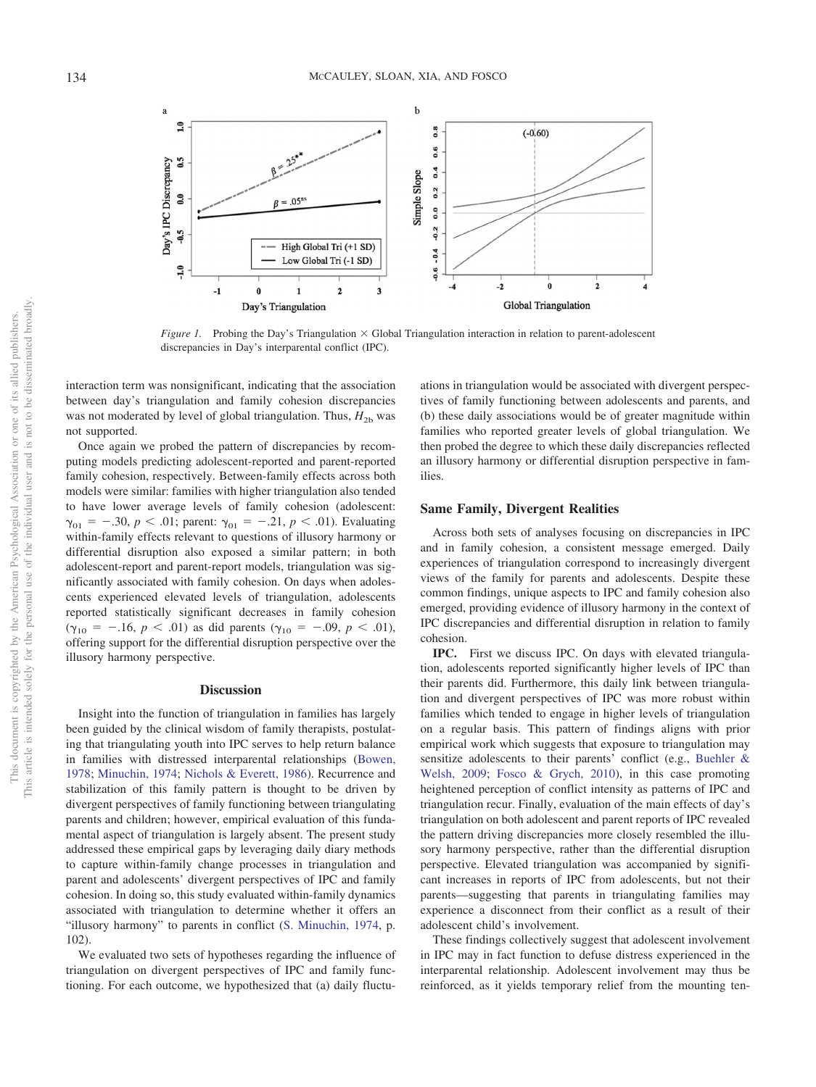

<span id="page-6-0"></span>*Figure 1.* Probing the Day's Triangulation  $\times$  Global Triangulation interaction in relation to parent-adolescent discrepancies in Day's interparental conflict (IPC).

interaction term was nonsignificant, indicating that the association between day's triangulation and family cohesion discrepancies was not moderated by level of global triangulation. Thus,  $H_{2b}$  was not supported.

Once again we probed the pattern of discrepancies by recomputing models predicting adolescent-reported and parent-reported family cohesion, respectively. Between-family effects across both models were similar: families with higher triangulation also tended to have lower average levels of family cohesion (adolescent:  $\gamma_{01} = -.30, p < .01$ ; parent:  $\gamma_{01} = -.21, p < .01$ ). Evaluating within-family effects relevant to questions of illusory harmony or differential disruption also exposed a similar pattern; in both adolescent-report and parent-report models, triangulation was significantly associated with family cohesion. On days when adolescents experienced elevated levels of triangulation, adolescents reported statistically significant decreases in family cohesion  $(\gamma_{10} = -.16, p < .01)$  as did parents  $(\gamma_{10} = -.09, p < .01)$ , offering support for the differential disruption perspective over the illusory harmony perspective.

#### **Discussion**

Insight into the function of triangulation in families has largely been guided by the clinical wisdom of family therapists, postulating that triangulating youth into IPC serves to help return balance in families with distressed interparental relationships [\(Bowen,](#page-8-0) [1978;](#page-8-0) [Minuchin, 1974;](#page-9-0) [Nichols & Everett, 1986\)](#page-9-1). Recurrence and stabilization of this family pattern is thought to be driven by divergent perspectives of family functioning between triangulating parents and children; however, empirical evaluation of this fundamental aspect of triangulation is largely absent. The present study addressed these empirical gaps by leveraging daily diary methods to capture within-family change processes in triangulation and parent and adolescents' divergent perspectives of IPC and family cohesion. In doing so, this study evaluated within-family dynamics associated with triangulation to determine whether it offers an "illusory harmony" to parents in conflict [\(S. Minuchin, 1974,](#page-9-0) p. 102).

We evaluated two sets of hypotheses regarding the influence of triangulation on divergent perspectives of IPC and family functioning. For each outcome, we hypothesized that (a) daily fluctuations in triangulation would be associated with divergent perspectives of family functioning between adolescents and parents, and (b) these daily associations would be of greater magnitude within families who reported greater levels of global triangulation. We then probed the degree to which these daily discrepancies reflected an illusory harmony or differential disruption perspective in families.

# **Same Family, Divergent Realities**

Across both sets of analyses focusing on discrepancies in IPC and in family cohesion, a consistent message emerged. Daily experiences of triangulation correspond to increasingly divergent views of the family for parents and adolescents. Despite these common findings, unique aspects to IPC and family cohesion also emerged, providing evidence of illusory harmony in the context of IPC discrepancies and differential disruption in relation to family cohesion.

**IPC.** First we discuss IPC. On days with elevated triangulation, adolescents reported significantly higher levels of IPC than their parents did. Furthermore, this daily link between triangulation and divergent perspectives of IPC was more robust within families which tended to engage in higher levels of triangulation on a regular basis. This pattern of findings aligns with prior empirical work which suggests that exposure to triangulation may sensitize adolescents to their parents' conflict (e.g., [Buehler &](#page-8-5) [Welsh, 2009;](#page-8-5) [Fosco & Grych, 2010\)](#page-8-7), in this case promoting heightened perception of conflict intensity as patterns of IPC and triangulation recur. Finally, evaluation of the main effects of day's triangulation on both adolescent and parent reports of IPC revealed the pattern driving discrepancies more closely resembled the illusory harmony perspective, rather than the differential disruption perspective. Elevated triangulation was accompanied by significant increases in reports of IPC from adolescents, but not their parents—suggesting that parents in triangulating families may experience a disconnect from their conflict as a result of their adolescent child's involvement.

These findings collectively suggest that adolescent involvement in IPC may in fact function to defuse distress experienced in the interparental relationship. Adolescent involvement may thus be reinforced, as it yields temporary relief from the mounting ten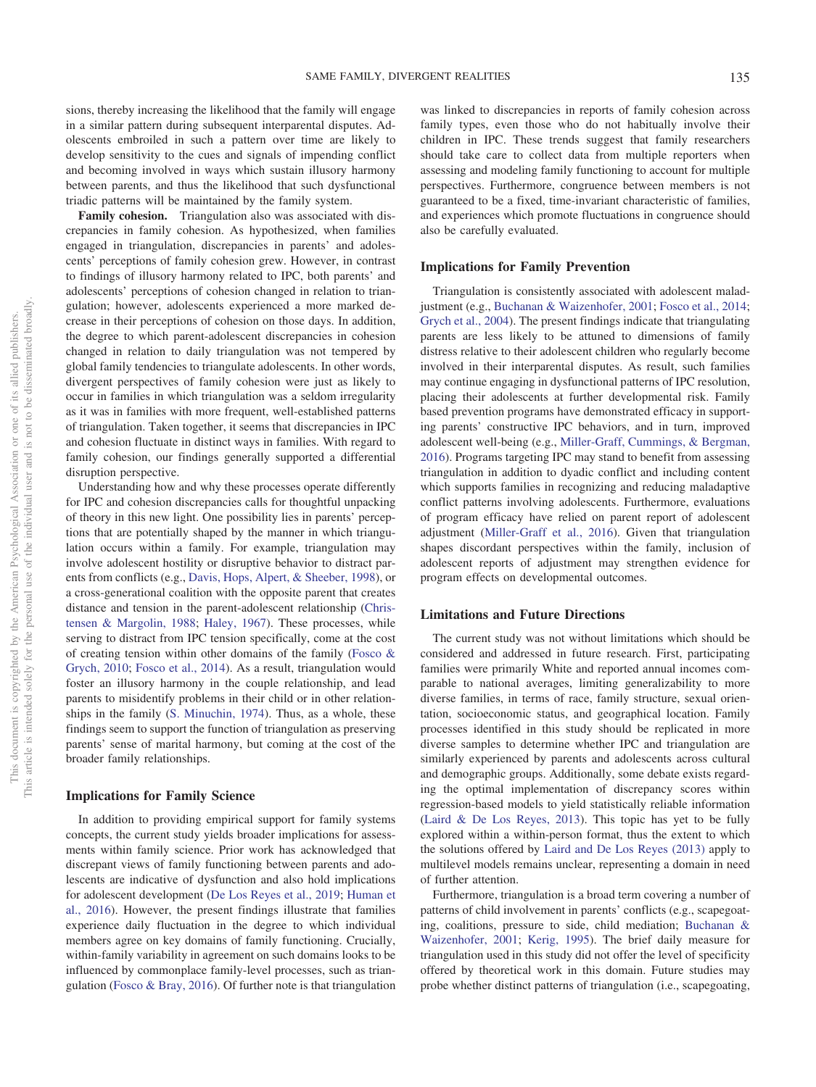sions, thereby increasing the likelihood that the family will engage in a similar pattern during subsequent interparental disputes. Adolescents embroiled in such a pattern over time are likely to develop sensitivity to the cues and signals of impending conflict and becoming involved in ways which sustain illusory harmony between parents, and thus the likelihood that such dysfunctional triadic patterns will be maintained by the family system.

**Family cohesion.** Triangulation also was associated with discrepancies in family cohesion. As hypothesized, when families engaged in triangulation, discrepancies in parents' and adolescents' perceptions of family cohesion grew. However, in contrast to findings of illusory harmony related to IPC, both parents' and adolescents' perceptions of cohesion changed in relation to triangulation; however, adolescents experienced a more marked decrease in their perceptions of cohesion on those days. In addition, the degree to which parent-adolescent discrepancies in cohesion changed in relation to daily triangulation was not tempered by global family tendencies to triangulate adolescents. In other words, divergent perspectives of family cohesion were just as likely to occur in families in which triangulation was a seldom irregularity as it was in families with more frequent, well-established patterns of triangulation. Taken together, it seems that discrepancies in IPC and cohesion fluctuate in distinct ways in families. With regard to family cohesion, our findings generally supported a differential disruption perspective.

Understanding how and why these processes operate differently for IPC and cohesion discrepancies calls for thoughtful unpacking of theory in this new light. One possibility lies in parents' perceptions that are potentially shaped by the manner in which triangulation occurs within a family. For example, triangulation may involve adolescent hostility or disruptive behavior to distract parents from conflicts (e.g., [Davis, Hops, Alpert, & Sheeber, 1998\)](#page-8-22), or a cross-generational coalition with the opposite parent that creates distance and tension in the parent-adolescent relationship [\(Chris](#page-8-23)[tensen & Margolin, 1988;](#page-8-23) [Haley, 1967\)](#page-9-13). These processes, while serving to distract from IPC tension specifically, come at the cost of creating tension within other domains of the family [\(Fosco &](#page-8-7) [Grych, 2010;](#page-8-7) [Fosco et al., 2014\)](#page-8-8). As a result, triangulation would foster an illusory harmony in the couple relationship, and lead parents to misidentify problems in their child or in other relationships in the family [\(S. Minuchin, 1974\)](#page-9-0). Thus, as a whole, these findings seem to support the function of triangulation as preserving parents' sense of marital harmony, but coming at the cost of the broader family relationships.

### **Implications for Family Science**

In addition to providing empirical support for family systems concepts, the current study yields broader implications for assessments within family science. Prior work has acknowledged that discrepant views of family functioning between parents and adolescents are indicative of dysfunction and also hold implications for adolescent development [\(De Los Reyes et al., 2019;](#page-8-13) [Human et](#page-9-6) [al., 2016\)](#page-9-6). However, the present findings illustrate that families experience daily fluctuation in the degree to which individual members agree on key domains of family functioning. Crucially, within-family variability in agreement on such domains looks to be influenced by commonplace family-level processes, such as triangulation [\(Fosco & Bray, 2016\)](#page-8-9). Of further note is that triangulation

was linked to discrepancies in reports of family cohesion across family types, even those who do not habitually involve their children in IPC. These trends suggest that family researchers should take care to collect data from multiple reporters when assessing and modeling family functioning to account for multiple perspectives. Furthermore, congruence between members is not guaranteed to be a fixed, time-invariant characteristic of families, and experiences which promote fluctuations in congruence should also be carefully evaluated.

### **Implications for Family Prevention**

Triangulation is consistently associated with adolescent maladjustment (e.g., [Buchanan & Waizenhofer, 2001;](#page-8-1) [Fosco et al., 2014;](#page-8-8) [Grych et al., 2004\)](#page-8-4). The present findings indicate that triangulating parents are less likely to be attuned to dimensions of family distress relative to their adolescent children who regularly become involved in their interparental disputes. As result, such families may continue engaging in dysfunctional patterns of IPC resolution, placing their adolescents at further developmental risk. Family based prevention programs have demonstrated efficacy in supporting parents' constructive IPC behaviors, and in turn, improved adolescent well-being (e.g., [Miller-Graff, Cummings, & Bergman,](#page-9-14) [2016\)](#page-9-14). Programs targeting IPC may stand to benefit from assessing triangulation in addition to dyadic conflict and including content which supports families in recognizing and reducing maladaptive conflict patterns involving adolescents. Furthermore, evaluations of program efficacy have relied on parent report of adolescent adjustment [\(Miller-Graff et al., 2016\)](#page-9-14). Given that triangulation shapes discordant perspectives within the family, inclusion of adolescent reports of adjustment may strengthen evidence for program effects on developmental outcomes.

### **Limitations and Future Directions**

The current study was not without limitations which should be considered and addressed in future research. First, participating families were primarily White and reported annual incomes comparable to national averages, limiting generalizability to more diverse families, in terms of race, family structure, sexual orientation, socioeconomic status, and geographical location. Family processes identified in this study should be replicated in more diverse samples to determine whether IPC and triangulation are similarly experienced by parents and adolescents across cultural and demographic groups. Additionally, some debate exists regarding the optimal implementation of discrepancy scores within regression-based models to yield statistically reliable information [\(Laird & De Los Reyes, 2013\)](#page-9-15). This topic has yet to be fully explored within a within-person format, thus the extent to which the solutions offered by [Laird and De Los Reyes \(2013\)](#page-9-15) apply to multilevel models remains unclear, representing a domain in need of further attention.

Furthermore, triangulation is a broad term covering a number of patterns of child involvement in parents' conflicts (e.g., scapegoating, coalitions, pressure to side, child mediation; [Buchanan &](#page-8-1) [Waizenhofer, 2001;](#page-8-1) [Kerig, 1995\)](#page-9-2). The brief daily measure for triangulation used in this study did not offer the level of specificity offered by theoretical work in this domain. Future studies may probe whether distinct patterns of triangulation (i.e., scapegoating,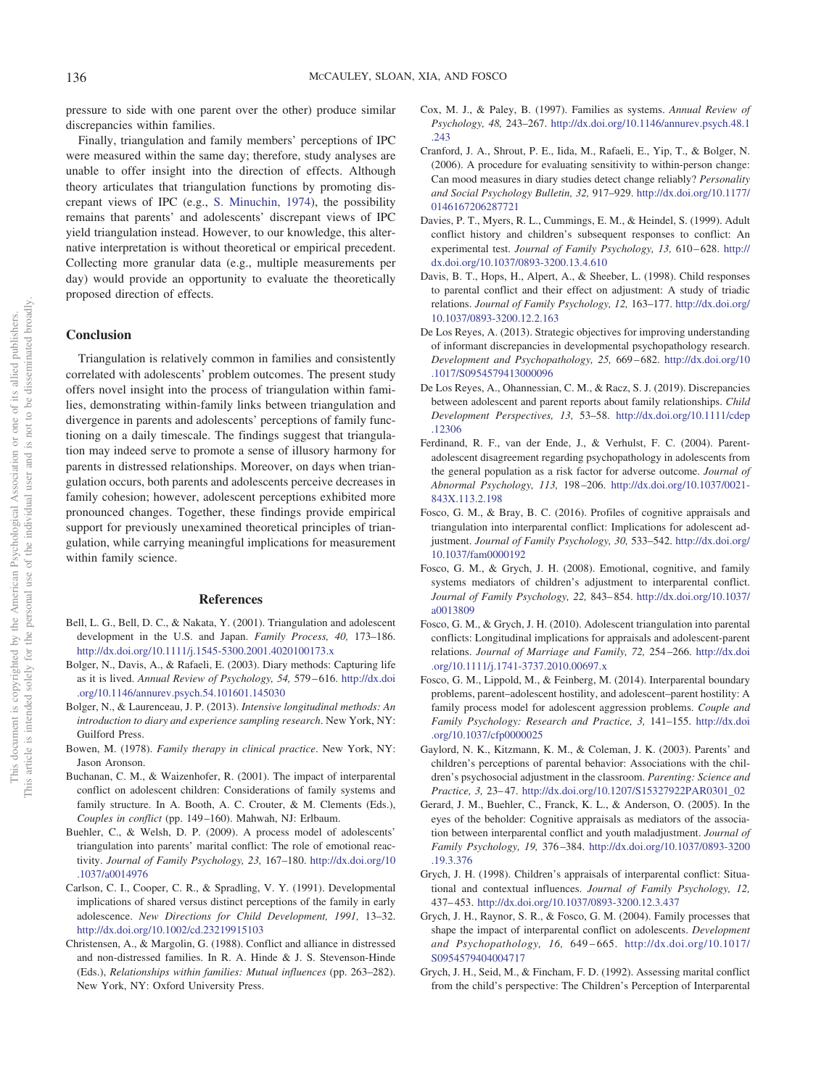pressure to side with one parent over the other) produce similar discrepancies within families.

Finally, triangulation and family members' perceptions of IPC were measured within the same day; therefore, study analyses are unable to offer insight into the direction of effects. Although theory articulates that triangulation functions by promoting discrepant views of IPC (e.g., [S. Minuchin, 1974\)](#page-9-0), the possibility remains that parents' and adolescents' discrepant views of IPC yield triangulation instead. However, to our knowledge, this alternative interpretation is without theoretical or empirical precedent. Collecting more granular data (e.g., multiple measurements per day) would provide an opportunity to evaluate the theoretically proposed direction of effects.

### **Conclusion**

Triangulation is relatively common in families and consistently correlated with adolescents' problem outcomes. The present study offers novel insight into the process of triangulation within families, demonstrating within-family links between triangulation and divergence in parents and adolescents' perceptions of family functioning on a daily timescale. The findings suggest that triangulation may indeed serve to promote a sense of illusory harmony for parents in distressed relationships. Moreover, on days when triangulation occurs, both parents and adolescents perceive decreases in family cohesion; however, adolescent perceptions exhibited more pronounced changes. Together, these findings provide empirical support for previously unexamined theoretical principles of triangulation, while carrying meaningful implications for measurement within family science.

#### **References**

- <span id="page-8-2"></span>Bell, L. G., Bell, D. C., & Nakata, Y. (2001). Triangulation and adolescent development in the U.S. and Japan. *Family Process, 40,* 173–186. <http://dx.doi.org/10.1111/j.1545-5300.2001.4020100173.x>
- <span id="page-8-19"></span>Bolger, N., Davis, A., & Rafaeli, E. (2003). Diary methods: Capturing life as it is lived. *Annual Review of Psychology, 54,* 579 – 616. [http://dx.doi](http://dx.doi.org/10.1146/annurev.psych.54.101601.145030) [.org/10.1146/annurev.psych.54.101601.145030](http://dx.doi.org/10.1146/annurev.psych.54.101601.145030)
- <span id="page-8-18"></span>Bolger, N., & Laurenceau, J. P. (2013). *Intensive longitudinal methods: An introduction to diary and experience sampling research*. New York, NY: Guilford Press.
- <span id="page-8-0"></span>Bowen, M. (1978). *Family therapy in clinical practice*. New York, NY: Jason Aronson.
- <span id="page-8-1"></span>Buchanan, C. M., & Waizenhofer, R. (2001). The impact of interparental conflict on adolescent children: Considerations of family systems and family structure. In A. Booth, A. C. Crouter, & M. Clements (Eds.), *Couples in conflict* (pp. 149 –160). Mahwah, NJ: Erlbaum.
- <span id="page-8-5"></span>Buehler, C., & Welsh, D. P. (2009). A process model of adolescents' triangulation into parents' marital conflict: The role of emotional reactivity. *Journal of Family Psychology, 23,* 167–180. [http://dx.doi.org/10](http://dx.doi.org/10.1037/a0014976) [.1037/a0014976](http://dx.doi.org/10.1037/a0014976)
- <span id="page-8-12"></span>Carlson, C. I., Cooper, C. R., & Spradling, V. Y. (1991). Developmental implications of shared versus distinct perceptions of the family in early adolescence. *New Directions for Child Development, 1991,* 13–32. <http://dx.doi.org/10.1002/cd.23219915103>
- <span id="page-8-23"></span>Christensen, A., & Margolin, G. (1988). Conflict and alliance in distressed and non-distressed families. In R. A. Hinde & J. S. Stevenson-Hinde (Eds.), *Relationships within families: Mutual influences* (pp. 263–282). New York, NY: Oxford University Press.
- <span id="page-8-17"></span>Cox, M. J., & Paley, B. (1997). Families as systems. *Annual Review of Psychology, 48,* 243–267. [http://dx.doi.org/10.1146/annurev.psych.48.1](http://dx.doi.org/10.1146/annurev.psych.48.1.243) [.243](http://dx.doi.org/10.1146/annurev.psych.48.1.243)
- <span id="page-8-20"></span>Cranford, J. A., Shrout, P. E., Iida, M., Rafaeli, E., Yip, T., & Bolger, N. (2006). A procedure for evaluating sensitivity to within-person change: Can mood measures in diary studies detect change reliably? *Personality and Social Psychology Bulletin, 32,* 917–929. [http://dx.doi.org/10.1177/](http://dx.doi.org/10.1177/0146167206287721) [0146167206287721](http://dx.doi.org/10.1177/0146167206287721)
- <span id="page-8-10"></span>Davies, P. T., Myers, R. L., Cummings, E. M., & Heindel, S. (1999). Adult conflict history and children's subsequent responses to conflict: An experimental test. *Journal of Family Psychology, 13,* 610 – 628. [http://](http://dx.doi.org/10.1037/0893-3200.13.4.610) [dx.doi.org/10.1037/0893-3200.13.4.610](http://dx.doi.org/10.1037/0893-3200.13.4.610)
- <span id="page-8-22"></span>Davis, B. T., Hops, H., Alpert, A., & Sheeber, L. (1998). Child responses to parental conflict and their effect on adjustment: A study of triadic relations. *Journal of Family Psychology, 12,* 163–177. [http://dx.doi.org/](http://dx.doi.org/10.1037/0893-3200.12.2.163) [10.1037/0893-3200.12.2.163](http://dx.doi.org/10.1037/0893-3200.12.2.163)
- <span id="page-8-15"></span>De Los Reyes, A. (2013). Strategic objectives for improving understanding of informant discrepancies in developmental psychopathology research. *Development and Psychopathology, 25,* 669 – 682. [http://dx.doi.org/10](http://dx.doi.org/10.1017/S0954579413000096) [.1017/S0954579413000096](http://dx.doi.org/10.1017/S0954579413000096)
- <span id="page-8-13"></span>De Los Reyes, A., Ohannessian, C. M., & Racz, S. J. (2019). Discrepancies between adolescent and parent reports about family relationships. *Child Development Perspectives, 13,* 53–58. [http://dx.doi.org/10.1111/cdep](http://dx.doi.org/10.1111/cdep.12306) [.12306](http://dx.doi.org/10.1111/cdep.12306)
- <span id="page-8-14"></span>Ferdinand, R. F., van der Ende, J., & Verhulst, F. C. (2004). Parentadolescent disagreement regarding psychopathology in adolescents from the general population as a risk factor for adverse outcome. *Journal of Abnormal Psychology, 113,* 198 –206. [http://dx.doi.org/10.1037/0021-](http://dx.doi.org/10.1037/0021-843X.113.2.198) [843X.113.2.198](http://dx.doi.org/10.1037/0021-843X.113.2.198)
- <span id="page-8-9"></span>Fosco, G. M., & Bray, B. C. (2016). Profiles of cognitive appraisals and triangulation into interparental conflict: Implications for adolescent adjustment. *Journal of Family Psychology, 30,* 533–542. [http://dx.doi.org/](http://dx.doi.org/10.1037/fam0000192) [10.1037/fam0000192](http://dx.doi.org/10.1037/fam0000192)
- <span id="page-8-6"></span>Fosco, G. M., & Grych, J. H. (2008). Emotional, cognitive, and family systems mediators of children's adjustment to interparental conflict. *Journal of Family Psychology, 22,* 843– 854. [http://dx.doi.org/10.1037/](http://dx.doi.org/10.1037/a0013809) [a0013809](http://dx.doi.org/10.1037/a0013809)
- <span id="page-8-7"></span>Fosco, G. M., & Grych, J. H. (2010). Adolescent triangulation into parental conflicts: Longitudinal implications for appraisals and adolescent-parent relations. *Journal of Marriage and Family, 72,* 254 –266. [http://dx.doi](http://dx.doi.org/10.1111/j.1741-3737.2010.00697.x) [.org/10.1111/j.1741-3737.2010.00697.x](http://dx.doi.org/10.1111/j.1741-3737.2010.00697.x)
- <span id="page-8-8"></span>Fosco, G. M., Lippold, M., & Feinberg, M. (2014). Interparental boundary problems, parent–adolescent hostility, and adolescent–parent hostility: A family process model for adolescent aggression problems. *Couple and Family Psychology: Research and Practice, 3,* 141–155. [http://dx.doi](http://dx.doi.org/10.1037/cfp0000025) [.org/10.1037/cfp0000025](http://dx.doi.org/10.1037/cfp0000025)
- <span id="page-8-16"></span>Gaylord, N. K., Kitzmann, K. M., & Coleman, J. K. (2003). Parents' and children's perceptions of parental behavior: Associations with the children's psychosocial adjustment in the classroom. *Parenting: Science and Practice, 3,* 23– 47. [http://dx.doi.org/10.1207/S15327922PAR0301\\_02](http://dx.doi.org/10.1207/S15327922PAR0301_02)
- <span id="page-8-3"></span>Gerard, J. M., Buehler, C., Franck, K. L., & Anderson, O. (2005). In the eyes of the beholder: Cognitive appraisals as mediators of the association between interparental conflict and youth maladjustment. *Journal of Family Psychology, 19,* 376 –384. [http://dx.doi.org/10.1037/0893-3200](http://dx.doi.org/10.1037/0893-3200.19.3.376) [.19.3.376](http://dx.doi.org/10.1037/0893-3200.19.3.376)
- <span id="page-8-11"></span>Grych, J. H. (1998). Children's appraisals of interparental conflict: Situational and contextual influences. *Journal of Family Psychology, 12,* 437– 453. <http://dx.doi.org/10.1037/0893-3200.12.3.437>
- <span id="page-8-4"></span>Grych, J. H., Raynor, S. R., & Fosco, G. M. (2004). Family processes that shape the impact of interparental conflict on adolescents. *Development and Psychopathology, 16,* 649 – 665. [http://dx.doi.org/10.1017/](http://dx.doi.org/10.1017/S0954579404004717) [S0954579404004717](http://dx.doi.org/10.1017/S0954579404004717)
- <span id="page-8-21"></span>Grych, J. H., Seid, M., & Fincham, F. D. (1992). Assessing marital conflict from the child's perspective: The Children's Perception of Interparental